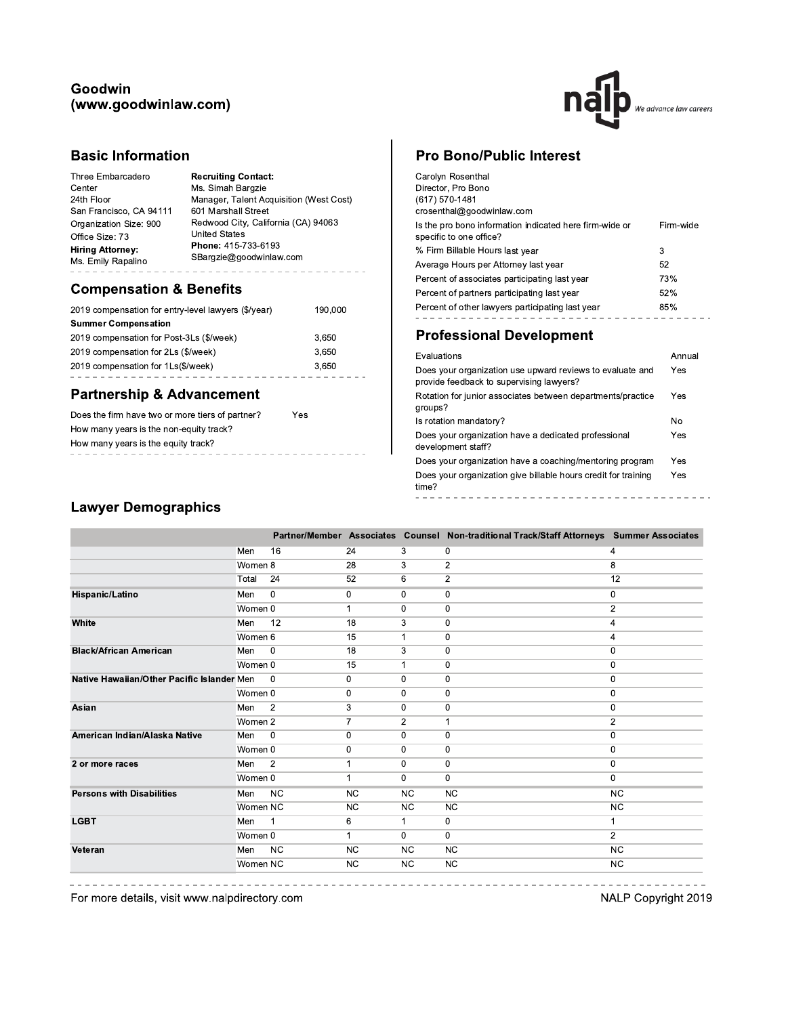## Goodwin (www.goodwinlaw.com)



## **Basic Information**

| Three Embarcadero       | <b>Recruiting Contact:</b>              |
|-------------------------|-----------------------------------------|
| Center                  | Ms. Simah Bargzie                       |
| 24th Floor              | Manager, Talent Acquisition (West Cost) |
| San Francisco, CA 94111 | 601 Marshall Street                     |
| Organization Size: 900  | Redwood City, California (CA) 94063     |
| Office Size: 73         | <b>United States</b>                    |
| <b>Hiring Attorney:</b> | Phone: 415-733-6193                     |
| Ms. Emily Rapalino      | SBargzie@goodwinlaw.com                 |

# **Compensation & Benefits**

| 2019 compensation for entry-level lawyers (\$/year) | 190,000 |
|-----------------------------------------------------|---------|
| <b>Summer Compensation</b>                          |         |
| 2019 compensation for Post-3Ls (\$/week)            | 3,650   |
| 2019 compensation for 2Ls (\$/week)                 | 3.650   |
| 2019 compensation for 1Ls(\$/week)                  | 3.650   |
|                                                     |         |

## **Partnership & Advancement**

| Does the firm have two or more tiers of partner? | Yes |  |  |  |
|--------------------------------------------------|-----|--|--|--|
| How many years is the non-equity track?          |     |  |  |  |
| How many years is the equity track?              |     |  |  |  |
|                                                  |     |  |  |  |

# **Pro Bono/Public Interest**

| Carolyn Rosenthal<br>Director, Pro Bono<br>(617) 570-1481<br>crosenthal@goodwinlaw.com |           |
|----------------------------------------------------------------------------------------|-----------|
| Is the pro bono information indicated here firm-wide or<br>specific to one office?     | Firm-wide |
| % Firm Billable Hours last year                                                        | 3         |
| Average Hours per Attorney last year                                                   | 52        |
| Percent of associates participating last year                                          | 73%       |
| Percent of partners participating last year                                            | 52%       |
| Percent of other lawyers participating last year                                       | 85%       |
|                                                                                        |           |

## **Professional Development**

| Evaluations                                                                                           | Annual |
|-------------------------------------------------------------------------------------------------------|--------|
| Does your organization use upward reviews to evaluate and<br>provide feedback to supervising lawyers? | Yes    |
| Rotation for junior associates between departments/practice<br>groups?                                | Yes    |
| Is rotation mandatory?                                                                                | Nο     |
| Does your organization have a dedicated professional<br>development staff?                            | Yes    |
| Does your organization have a coaching/mentoring program                                              | Yes    |
| Does your organization give billable hours credit for training<br>time?                               | Yes    |
|                                                                                                       |        |

# **Lawyer Demographics**

|                                            |          |                |                |                | Partner/Member Associates Counsel Non-traditional Track/Staff Attorneys Summer Associates |                |
|--------------------------------------------|----------|----------------|----------------|----------------|-------------------------------------------------------------------------------------------|----------------|
|                                            | Men      | 16             | 24             | 3              | $\mathbf 0$                                                                               | 4              |
|                                            | Women 8  |                | 28             | 3              | $\overline{2}$                                                                            | 8              |
|                                            | Total    | 24             | 52             | 6              | $\overline{2}$                                                                            | 12             |
| Hispanic/Latino                            | Men      | $\mathbf 0$    | 0              | 0              | $\mathbf 0$                                                                               | 0              |
|                                            | Women 0  |                | 1              | 0              | $\mathbf 0$                                                                               | $\overline{c}$ |
| White                                      | Men      | 12             | 18             | 3              | $\mathbf 0$                                                                               | 4              |
|                                            | Women 6  |                | 15             | 1              | 0                                                                                         | 4              |
| <b>Black/African American</b>              | Men      | $\mathbf 0$    | 18             | 3              | $\mathbf 0$                                                                               | $\mathbf 0$    |
|                                            | Women 0  |                | 15             | 1              | 0                                                                                         | 0              |
| Native Hawaiian/Other Pacific Islander Men |          | $\Omega$       | 0              | 0              | 0                                                                                         | 0              |
|                                            | Women 0  |                | 0              | 0              | $\mathbf 0$                                                                               | $\mathbf 0$    |
| Asian                                      | Men      | $\overline{2}$ | 3              | 0              | 0                                                                                         | 0              |
|                                            | Women 2  |                | $\overline{7}$ | $\overline{2}$ | $\mathbf{1}$                                                                              | $\overline{2}$ |
| American Indian/Alaska Native              | Men      | $\mathbf 0$    | 0              | 0              | $\mathbf 0$                                                                               | 0              |
|                                            | Women 0  |                | 0              | 0              | $\mathbf 0$                                                                               | 0              |
| 2 or more races                            | Men      | $\overline{2}$ |                | 0              | $\mathbf 0$                                                                               | 0              |
|                                            | Women 0  |                | 1              | 0              | $\bf{0}$                                                                                  | $\Omega$       |
| <b>Persons with Disabilities</b>           | Men      | <b>NC</b>      | <b>NC</b>      | <b>NC</b>      | <b>NC</b>                                                                                 | <b>NC</b>      |
|                                            | Women NC |                | NC.            | <b>NC</b>      | <b>NC</b>                                                                                 | <b>NC</b>      |
| <b>LGBT</b>                                | Men      | $\mathbf 1$    | 6              | 1              | 0                                                                                         | 1              |
|                                            | Women 0  |                | $\mathbf{1}$   | 0              | $\mathbf 0$                                                                               | $\overline{2}$ |
| Veteran                                    | Men      | <b>NC</b>      | <b>NC</b>      | <b>NC</b>      | <b>NC</b>                                                                                 | <b>NC</b>      |
|                                            | Women NC |                | <b>NC</b>      | NC             | <b>NC</b>                                                                                 | <b>NC</b>      |

For more details, visit www.nalpdirectory.com

NALP Copyright 2019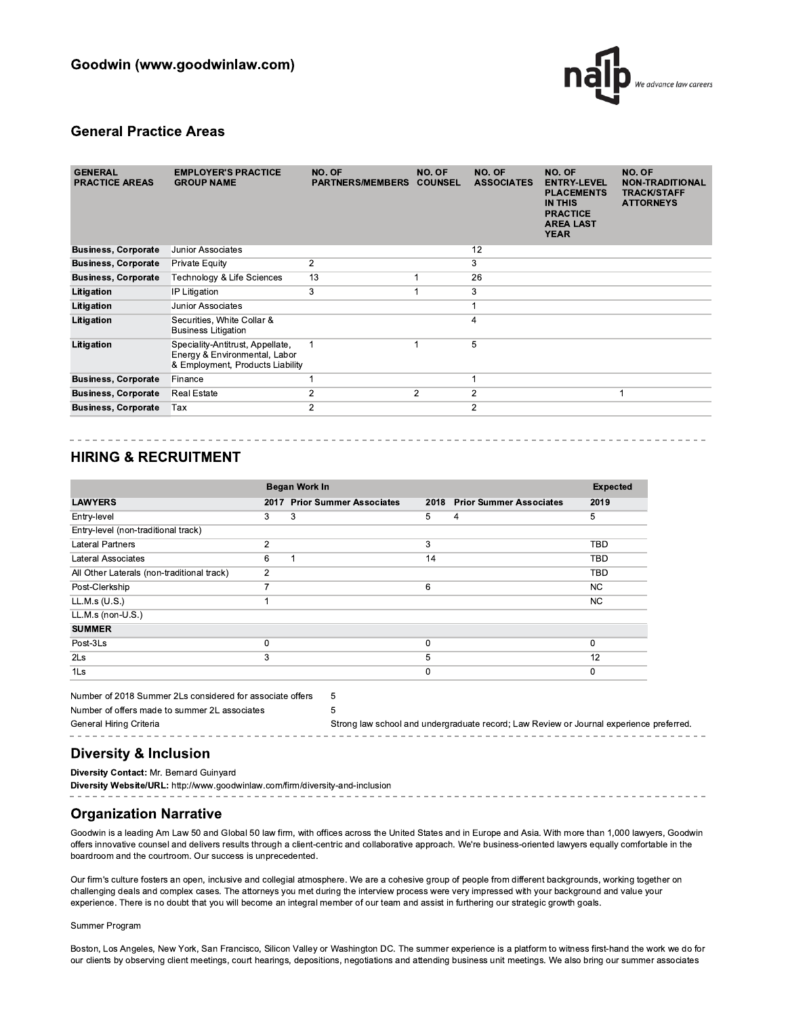

### **General Practice Areas**

| <b>GENERAL</b><br><b>PRACTICE AREAS</b> | <b>EMPLOYER'S PRACTICE</b><br><b>GROUP NAME</b>                                                       | NO. OF<br><b>PARTNERS/MEMBERS</b> | NO. OF<br><b>COUNSEL</b> | NO. OF<br><b>ASSOCIATES</b> | NO. OF<br><b>ENTRY-LEVEL</b><br><b>PLACEMENTS</b><br><b>IN THIS</b><br><b>PRACTICE</b><br><b>AREA LAST</b><br><b>YEAR</b> | NO. OF<br><b>NON-TRADITIONAL</b><br><b>TRACK/STAFF</b><br><b>ATTORNEYS</b> |
|-----------------------------------------|-------------------------------------------------------------------------------------------------------|-----------------------------------|--------------------------|-----------------------------|---------------------------------------------------------------------------------------------------------------------------|----------------------------------------------------------------------------|
| <b>Business, Corporate</b>              | Junior Associates                                                                                     |                                   |                          | 12                          |                                                                                                                           |                                                                            |
| <b>Business, Corporate</b>              | <b>Private Equity</b>                                                                                 | $\overline{2}$                    |                          | 3                           |                                                                                                                           |                                                                            |
| <b>Business, Corporate</b>              | Technology & Life Sciences                                                                            | 13                                |                          | 26                          |                                                                                                                           |                                                                            |
| Litigation                              | IP Litigation                                                                                         | 3                                 |                          | 3                           |                                                                                                                           |                                                                            |
| Litigation                              | Junior Associates                                                                                     |                                   |                          |                             |                                                                                                                           |                                                                            |
| Litigation                              | Securities, White Collar &<br><b>Business Litigation</b>                                              |                                   |                          | 4                           |                                                                                                                           |                                                                            |
| Litigation                              | Speciality-Antitrust, Appellate,<br>Energy & Environmental, Labor<br>& Employment, Products Liability | 1                                 |                          | 5                           |                                                                                                                           |                                                                            |
| <b>Business, Corporate</b>              | Finance                                                                                               |                                   |                          |                             |                                                                                                                           |                                                                            |
| <b>Business, Corporate</b>              | <b>Real Estate</b>                                                                                    | 2                                 | $\overline{c}$           | $\overline{c}$              |                                                                                                                           | 1                                                                          |
| <b>Business, Corporate</b>              | Tax                                                                                                   | 2                                 |                          | $\overline{2}$              |                                                                                                                           |                                                                            |
|                                         |                                                                                                       |                                   |                          |                             |                                                                                                                           |                                                                            |

-------------------------------------

## **HIRING & RECRUITMENT**

|                                                           |                | Began Work In                  |      |                                                                                         | <b>Expected</b> |  |
|-----------------------------------------------------------|----------------|--------------------------------|------|-----------------------------------------------------------------------------------------|-----------------|--|
| <b>LAWYERS</b>                                            | 2017           | <b>Prior Summer Associates</b> | 2018 | <b>Prior Summer Associates</b>                                                          | 2019            |  |
| Entry-level                                               | 3              | 3                              | 5    | 4                                                                                       | 5               |  |
| Entry-level (non-traditional track)                       |                |                                |      |                                                                                         |                 |  |
| <b>Lateral Partners</b>                                   | $\overline{2}$ |                                | 3    |                                                                                         | TBD             |  |
| Lateral Associates                                        | 6              |                                | 14   |                                                                                         | <b>TBD</b>      |  |
| All Other Laterals (non-traditional track)                | $\overline{2}$ |                                |      |                                                                                         | TBD             |  |
| Post-Clerkship                                            |                |                                | 6    |                                                                                         | NC.             |  |
| LL.M.s $(U.S.)$                                           |                |                                |      |                                                                                         | NC.             |  |
| $LL.M.s$ (non-U.S.)                                       |                |                                |      |                                                                                         |                 |  |
| <b>SUMMER</b>                                             |                |                                |      |                                                                                         |                 |  |
| Post-3Ls                                                  | 0              |                                | 0    |                                                                                         | $\Omega$        |  |
| 2Ls                                                       | 3              |                                | 5    |                                                                                         | 12              |  |
| 1Ls                                                       |                |                                | 0    |                                                                                         | $\Omega$        |  |
| Number of 2018 Summer 2Ls considered for associate offers |                | 5                              |      |                                                                                         |                 |  |
| Number of offers made to summer 2L associates             |                | 5                              |      |                                                                                         |                 |  |
| General Hiring Criteria                                   |                |                                |      | Strong law school and undergraduate record; Law Review or Journal experience preferred. |                 |  |

### **Diversity & Inclusion**

Diversity Contact: Mr. Bernard Guinvard

Diversity Website/URL: http://www.goodwinlaw.com/firm/diversity-and-inclusion

## **Organization Narrative**

Goodwin is a leading Am Law 50 and Global 50 law firm, with offices across the United States and in Europe and Asia. With more than 1,000 lawyers, Goodwin offers innovative counsel and delivers results through a client-centric and collaborative approach. We're business-oriented lawyers equally comfortable in the boardroom and the courtroom. Our success is unprecedented.

Our firm's culture fosters an open, inclusive and collegial atmosphere. We are a cohesive group of people from different backgrounds, working together on challenging deals and complex cases. The attorneys you met during the interview process were very impressed with your background and value your experience. There is no doubt that you will become an integral member of our team and assist in furthering our strategic growth goals.

#### Summer Program

Boston, Los Angeles, New York, San Francisco, Silicon Valley or Washington DC. The summer experience is a platform to witness first-hand the work we do for our clients by observing client meetings, court hearings, depositions, negotiations and attending business unit meetings. We also bring our summer associates